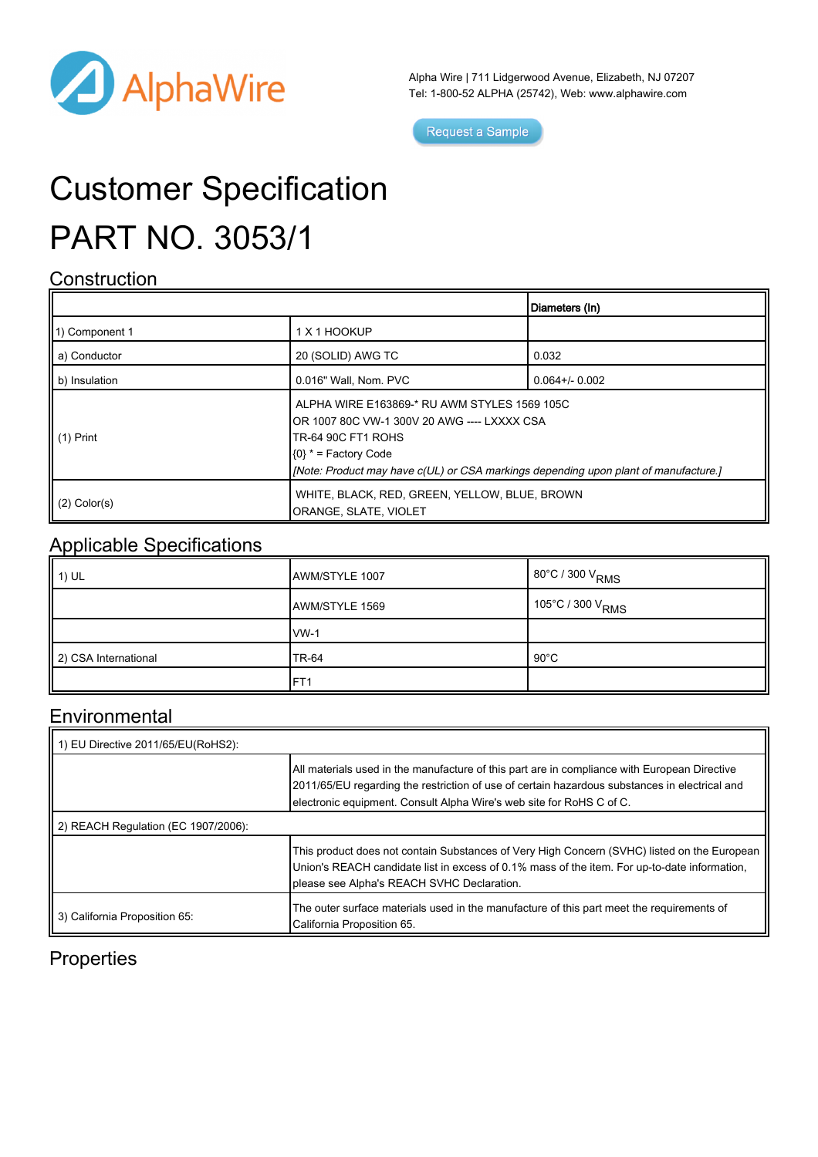

Alpha Wire | 711 Lidgerwood Avenue, Elizabeth, NJ 07207 Tel: 1-800-52 ALPHA (25742), Web: [www.alphawire.com](http://www.alphawire.com)

Request a Sample

# Customer Specification PART NO. 3053/1

#### **Construction**

|                       |                                                                                                                                                                                                                                            | Diameters (In)      |
|-----------------------|--------------------------------------------------------------------------------------------------------------------------------------------------------------------------------------------------------------------------------------------|---------------------|
| 11) Component 1       | 1 X 1 HOOKUP                                                                                                                                                                                                                               |                     |
| a) Conductor          | 20 (SOLID) AWG TC                                                                                                                                                                                                                          | 0.032               |
| b) Insulation         | 0.016" Wall, Nom. PVC                                                                                                                                                                                                                      | $0.064 + / - 0.002$ |
| $\parallel$ (1) Print | ALPHA WIRE E163869-* RU AWM STYLES 1569 105C<br>IOR 1007 80C VW-1 300V 20 AWG ---- LXXXX CSA<br><b>TR-64 90C FT1 ROHS</b><br>$(0)$ * = Factory Code<br>[Mote: Product may have c(UL) or CSA markings depending upon plant of manufacture.] |                     |
| $(2)$ Color(s)        | WHITE, BLACK, RED, GREEN, YELLOW, BLUE, BROWN<br>ORANGE, SLATE, VIOLET                                                                                                                                                                     |                     |

### Applicable Specifications

| $\parallel$ 1) UL    | AWM/STYLE 1007  | $1^{80^{\circ}$ C / 300 V <sub>RMS</sub> |
|----------------------|-----------------|------------------------------------------|
|                      | AWM/STYLE 1569  | $105^{\circ}$ C / 300 V <sub>RMS</sub>   |
|                      | $VW-1$          |                                          |
| 2) CSA International | <b>TR-64</b>    | $90^{\circ}$ C                           |
|                      | FT <sub>1</sub> |                                          |

#### Environmental

| $\vert$ 1) EU Directive 2011/65/EU(RoHS2): |                                                                                                                                                                                                                                                                       |  |  |
|--------------------------------------------|-----------------------------------------------------------------------------------------------------------------------------------------------------------------------------------------------------------------------------------------------------------------------|--|--|
|                                            | All materials used in the manufacture of this part are in compliance with European Directive<br>2011/65/EU regarding the restriction of use of certain hazardous substances in electrical and<br>electronic equipment. Consult Alpha Wire's web site for RoHS C of C. |  |  |
| 2) REACH Regulation (EC 1907/2006):        |                                                                                                                                                                                                                                                                       |  |  |
|                                            | This product does not contain Substances of Very High Concern (SVHC) listed on the European<br>Union's REACH candidate list in excess of 0.1% mass of the item. For up-to-date information,<br>please see Alpha's REACH SVHC Declaration.                             |  |  |
| 3) California Proposition 65:              | The outer surface materials used in the manufacture of this part meet the requirements of<br>California Proposition 65.                                                                                                                                               |  |  |

### **Properties**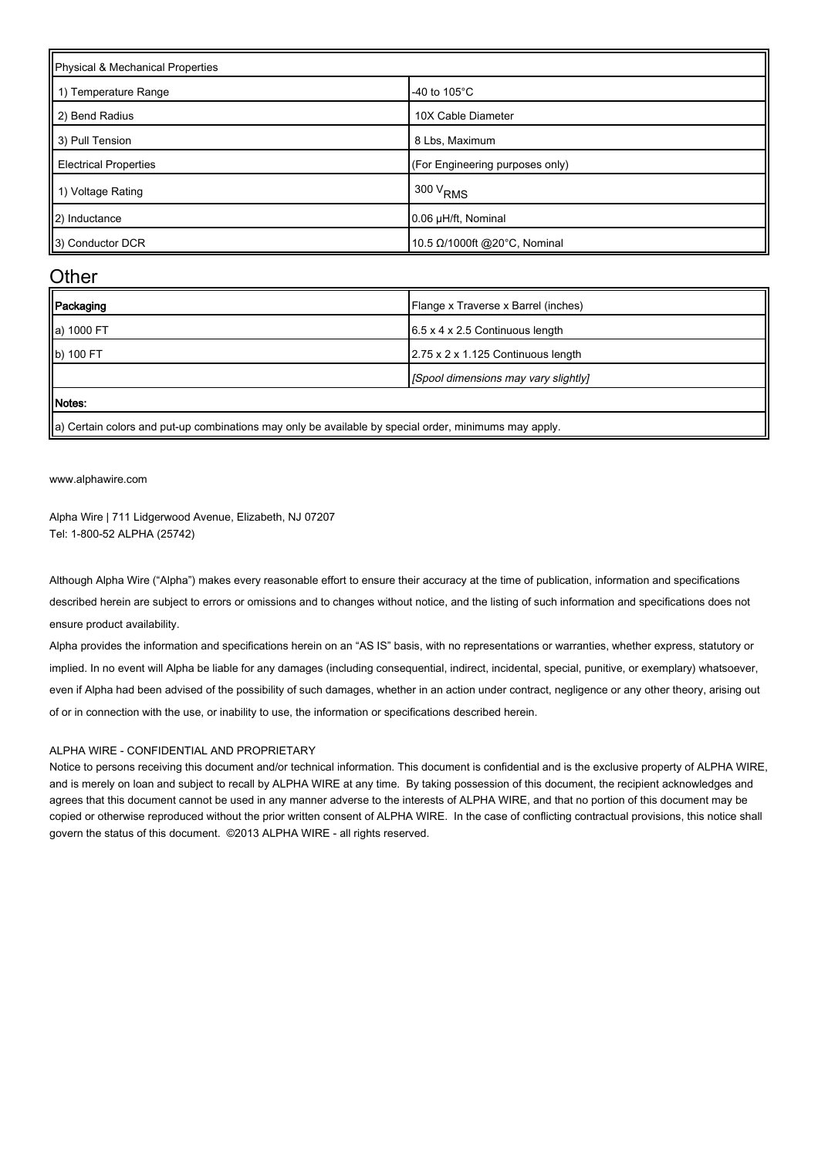| Physical & Mechanical Properties |                                 |  |
|----------------------------------|---------------------------------|--|
| 1) Temperature Range             | -40 to $105^{\circ}$ C          |  |
| 2) Bend Radius                   | 10X Cable Diameter              |  |
| 3) Pull Tension                  | 8 Lbs, Maximum                  |  |
| <b>Electrical Properties</b>     | (For Engineering purposes only) |  |
| 1) Voltage Rating                | $1300 V_{RMS}$                  |  |
| 2) Inductance                    | 0.06 µH/ft, Nominal             |  |
| 3) Conductor DCR                 | 10.5 Ω/1000ft @20°C, Nominal    |  |

#### **Other**

| Packaging  | Flange x Traverse x Barrel (inches)         |
|------------|---------------------------------------------|
| a) 1000 FT | $6.5 \times 4 \times 2.5$ Continuous length |
| b) 100 FT  | 2.75 x 2 x 1.125 Continuous length          |
|            | [Spool dimensions may vary slightly]        |
| Motes:     |                                             |

 $\parallel$ a) Certain colors and put-up combinations may only be available by special order, minimums may apply.

[www.alphawire.com](http://www.alphawire.com)

Alpha Wire | 711 Lidgerwood Avenue, Elizabeth, NJ 07207 Tel: 1-800-52 ALPHA (25742)

Although Alpha Wire ("Alpha") makes every reasonable effort to ensure their accuracy at the time of publication, information and specifications described herein are subject to errors or omissions and to changes without notice, and the listing of such information and specifications does not ensure product availability.

Alpha provides the information and specifications herein on an "AS IS" basis, with no representations or warranties, whether express, statutory or implied. In no event will Alpha be liable for any damages (including consequential, indirect, incidental, special, punitive, or exemplary) whatsoever, even if Alpha had been advised of the possibility of such damages, whether in an action under contract, negligence or any other theory, arising out of or in connection with the use, or inability to use, the information or specifications described herein.

#### ALPHA WIRE - CONFIDENTIAL AND PROPRIETARY

Notice to persons receiving this document and/or technical information. This document is confidential and is the exclusive property of ALPHA WIRE, and is merely on loan and subject to recall by ALPHA WIRE at any time. By taking possession of this document, the recipient acknowledges and agrees that this document cannot be used in any manner adverse to the interests of ALPHA WIRE, and that no portion of this document may be copied or otherwise reproduced without the prior written consent of ALPHA WIRE. In the case of conflicting contractual provisions, this notice shall govern the status of this document. ©2013 ALPHA WIRE - all rights reserved.